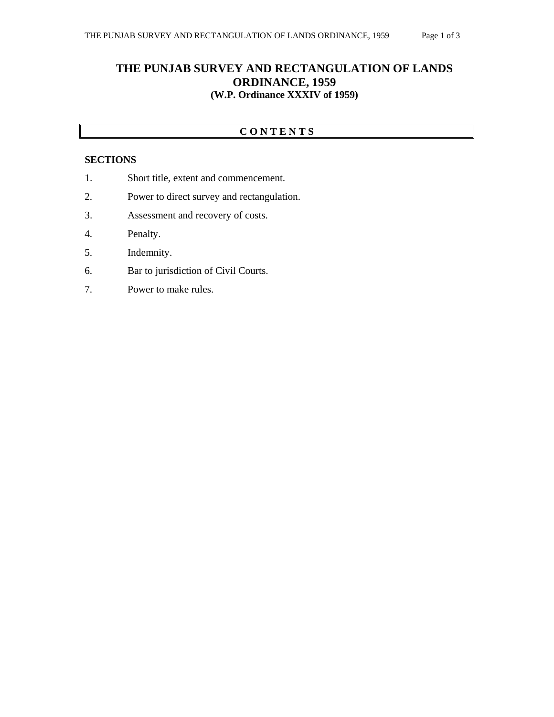## **C O N T E N T S**

## **SECTIONS**

- 1. Short title, extent and commencement.
- 2. Power to direct survey and rectangulation.
- 3. Assessment and recovery of costs.
- 4. Penalty.
- 5. Indemnity.
- 6. Bar to jurisdiction of Civil Courts.
- 7. Power to make rules.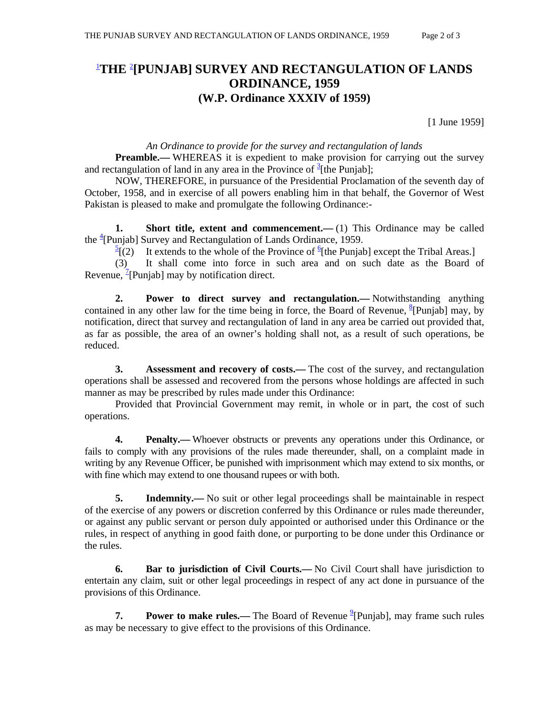## 1 **THE** <sup>2</sup> **[PUNJAB] SURVEY AND RECTANGULATION OF LANDS ORDINANCE, 1959 (W.P. Ordinance XXXIV of 1959)**

[1 June 1959]

## *An Ordinance to provide for the survey and rectangulation of lands*

**Preamble.**—WHEREAS it is expedient to make provision for carrying out the survey and rectangulation of land in any area in the Province of  $\frac{3}{2}$ [the Punjab];

 NOW, THEREFORE, in pursuance of the Presidential Proclamation of the seventh day of October, 1958, and in exercise of all powers enabling him in that behalf, the Governor of West Pakistan is pleased to make and promulgate the following Ordinance:-

**1.** Short title, extent and commencement.—(1) This Ordinance may be called the <sup>4</sup>[Punjab] Survey and Rectangulation of Lands Ordinance, 1959.

 $\frac{5}{2}$ [(2) It extends to the whole of the Province of <sup>6</sup>[the Punjab] except the Tribal Areas.]

 (3) It shall come into force in such area and on such date as the Board of Revenue,  $\frac{7}{2}$ [Punjab] may by notification direct.

 **2. Power to direct survey and rectangulation.—** Notwithstanding anything contained in any other law for the time being in force, the Board of Revenue,  $\frac{8}{3}$ [Punjab] may, by notification, direct that survey and rectangulation of land in any area be carried out provided that, as far as possible, the area of an owner's holding shall not, as a result of such operations, be reduced.

**3.** Assessment and recovery of costs.— The cost of the survey, and rectangulation operations shall be assessed and recovered from the persons whose holdings are affected in such manner as may be prescribed by rules made under this Ordinance:

 Provided that Provincial Government may remit, in whole or in part, the cost of such operations.

 **4. Penalty.—** Whoever obstructs or prevents any operations under this Ordinance, or fails to comply with any provisions of the rules made thereunder, shall, on a complaint made in writing by any Revenue Officer, be punished with imprisonment which may extend to six months, or with fine which may extend to one thousand rupees or with both.

**5.** Indemnity.— No suit or other legal proceedings shall be maintainable in respect of the exercise of any powers or discretion conferred by this Ordinance or rules made thereunder, or against any public servant or person duly appointed or authorised under this Ordinance or the rules, in respect of anything in good faith done, or purporting to be done under this Ordinance or the rules.

**6.** Bar to jurisdiction of Civil Courts.— No Civil Court shall have jurisdiction to entertain any claim, suit or other legal proceedings in respect of any act done in pursuance of the provisions of this Ordinance.

**7.** Power to make rules.— The Board of Revenue <sup>9</sup> [Punjab], may frame such rules as may be necessary to give effect to the provisions of this Ordinance.